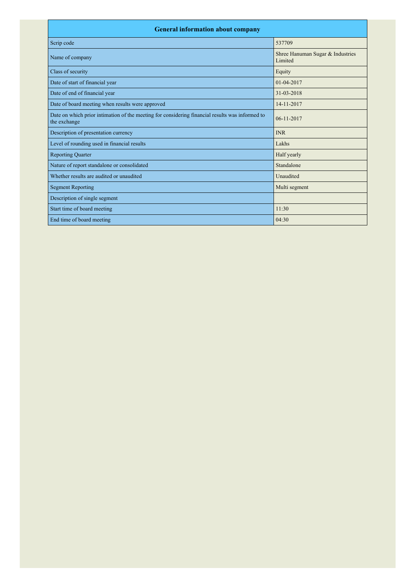| <b>General information about company</b>                                                                        |                                             |  |  |
|-----------------------------------------------------------------------------------------------------------------|---------------------------------------------|--|--|
| Scrip code                                                                                                      | 537709                                      |  |  |
| Name of company                                                                                                 | Shree Hanuman Sugar & Industries<br>Limited |  |  |
| Class of security                                                                                               | Equity                                      |  |  |
| Date of start of financial year                                                                                 | 01-04-2017                                  |  |  |
| Date of end of financial year                                                                                   | 31-03-2018                                  |  |  |
| Date of board meeting when results were approved                                                                | 14-11-2017                                  |  |  |
| Date on which prior intimation of the meeting for considering financial results was informed to<br>the exchange | $06 - 11 - 2017$                            |  |  |
| Description of presentation currency                                                                            | <b>INR</b>                                  |  |  |
| Level of rounding used in financial results                                                                     | Lakhs                                       |  |  |
| <b>Reporting Quarter</b>                                                                                        | Half yearly                                 |  |  |
| Nature of report standalone or consolidated                                                                     | Standalone                                  |  |  |
| Whether results are audited or unaudited                                                                        | Unaudited                                   |  |  |
| <b>Segment Reporting</b>                                                                                        | Multi segment                               |  |  |
| Description of single segment                                                                                   |                                             |  |  |
| Start time of board meeting                                                                                     | 11:30                                       |  |  |
| End time of board meeting                                                                                       | 04:30                                       |  |  |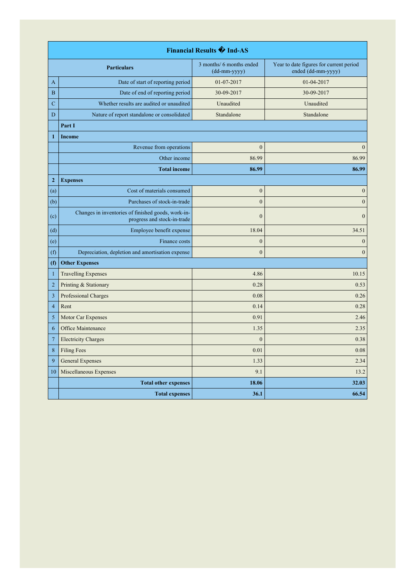| <b>Financial Results + Ind-AS</b> |                                                                                   |                                          |                                                               |
|-----------------------------------|-----------------------------------------------------------------------------------|------------------------------------------|---------------------------------------------------------------|
|                                   | <b>Particulars</b>                                                                | 3 months/ 6 months ended<br>(dd-mm-yyyy) | Year to date figures for current period<br>ended (dd-mm-yyyy) |
| A                                 | Date of start of reporting period                                                 | 01-07-2017                               | 01-04-2017                                                    |
| $\boldsymbol{B}$                  | Date of end of reporting period                                                   | 30-09-2017                               | 30-09-2017                                                    |
| $\overline{C}$                    | Whether results are audited or unaudited                                          | Unaudited                                | Unaudited                                                     |
| D                                 | Nature of report standalone or consolidated                                       | Standalone                               | Standalone                                                    |
|                                   | Part I                                                                            |                                          |                                                               |
| $\mathbf{1}$                      | Income                                                                            |                                          |                                                               |
|                                   | Revenue from operations                                                           | $\mathbf{0}$                             | $\mathbf{0}$                                                  |
|                                   | Other income                                                                      | 86.99                                    | 86.99                                                         |
|                                   | <b>Total income</b>                                                               | 86.99                                    | 86.99                                                         |
| $\mathbf{2}$                      | <b>Expenses</b>                                                                   |                                          |                                                               |
| (a)                               | Cost of materials consumed                                                        | $\boldsymbol{0}$                         | $\boldsymbol{0}$                                              |
| (b)                               | Purchases of stock-in-trade                                                       | $\boldsymbol{0}$                         | $\boldsymbol{0}$                                              |
| (c)                               | Changes in inventories of finished goods, work-in-<br>progress and stock-in-trade | $\mathbf{0}$                             | $\mathbf{0}$                                                  |
| (d)                               | Employee benefit expense                                                          | 18.04                                    | 34.51                                                         |
| (e)                               | Finance costs                                                                     | $\boldsymbol{0}$                         | $\boldsymbol{0}$                                              |
| (f)                               | Depreciation, depletion and amortisation expense                                  | $\overline{0}$                           | $\boldsymbol{0}$                                              |
| (f)                               | <b>Other Expenses</b>                                                             |                                          |                                                               |
| $\mathbf{1}$                      | <b>Travelling Expenses</b>                                                        | 4.86                                     | 10.15                                                         |
| $\overline{c}$                    | Printing & Stationary                                                             | 0.28                                     | 0.53                                                          |
| $\overline{\mathbf{3}}$           | Professional Charges                                                              | 0.08                                     | 0.26                                                          |
| $\overline{4}$                    | Rent                                                                              | 0.14                                     | 0.28                                                          |
| 5                                 | Motor Car Expenses                                                                | 0.91                                     | 2.46                                                          |
| 6                                 | Office Maintenance                                                                | 1.35                                     | 2.35                                                          |
| $\overline{7}$                    | <b>Electricity Charges</b>                                                        | $\overline{0}$                           | 0.38                                                          |
| 8                                 | <b>Filing Fees</b>                                                                | 0.01                                     | 0.08                                                          |
| 9                                 | <b>General Expenses</b>                                                           | 1.33                                     | 2.34                                                          |
| 10                                | Miscellaneous Expenses                                                            | 9.1                                      | 13.2                                                          |
|                                   | <b>Total other expenses</b>                                                       | 18.06                                    | 32.03                                                         |
|                                   | <b>Total expenses</b>                                                             | 36.1                                     | 66.54                                                         |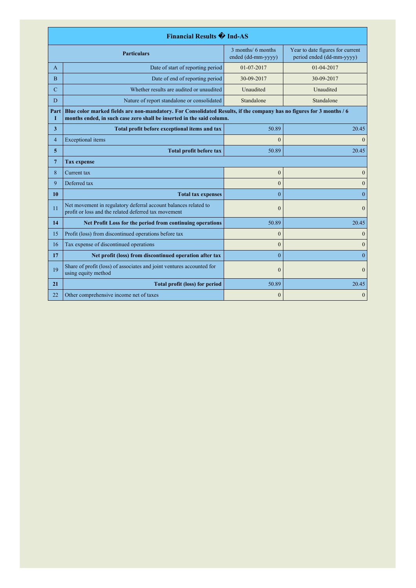| <b>Financial Results + Ind-AS</b>                               |                                                                                                                                                                                               |                                          |                                                               |
|-----------------------------------------------------------------|-----------------------------------------------------------------------------------------------------------------------------------------------------------------------------------------------|------------------------------------------|---------------------------------------------------------------|
|                                                                 | <b>Particulars</b>                                                                                                                                                                            | 3 months/ 6 months<br>ended (dd-mm-yyyy) | Year to date figures for current<br>period ended (dd-mm-yyyy) |
| A                                                               | Date of start of reporting period                                                                                                                                                             | 01-07-2017                               | $01-04-2017$                                                  |
| B                                                               | Date of end of reporting period                                                                                                                                                               | 30-09-2017                               | 30-09-2017                                                    |
| C                                                               | Whether results are audited or unaudited                                                                                                                                                      | Unaudited                                | Unaudited                                                     |
| D                                                               | Nature of report standalone or consolidated                                                                                                                                                   | Standalone                               | Standalone                                                    |
| Part<br>Т                                                       | Blue color marked fields are non-mandatory. For Consolidated Results, if the company has no figures for 3 months / 6<br>months ended, in such case zero shall be inserted in the said column. |                                          |                                                               |
| 3                                                               | Total profit before exceptional items and tax                                                                                                                                                 | 50.89                                    | 20.45                                                         |
| $\overline{4}$                                                  | <b>Exceptional</b> items                                                                                                                                                                      | $\theta$                                 | $\Omega$                                                      |
| 5                                                               | <b>Total profit before tax</b>                                                                                                                                                                | 50.89                                    | 20.45                                                         |
| 7                                                               | <b>Tax expense</b>                                                                                                                                                                            |                                          |                                                               |
| 8                                                               | Current tax                                                                                                                                                                                   | $\overline{0}$                           | $\mathbf{0}$                                                  |
| 9                                                               | Deferred tax                                                                                                                                                                                  | $\theta$                                 | $\theta$                                                      |
| 10                                                              | <b>Total tax expenses</b>                                                                                                                                                                     | $\theta$                                 | $\mathbf{0}$                                                  |
| 11                                                              | Net movement in regulatory deferral account balances related to<br>profit or loss and the related deferred tax movement                                                                       | $\mathbf{0}$                             | $\mathbf{0}$                                                  |
| 14<br>Net Profit Loss for the period from continuing operations |                                                                                                                                                                                               | 50.89                                    | 20.45                                                         |
| 15                                                              | Profit (loss) from discontinued operations before tax                                                                                                                                         | $\overline{0}$                           | $\mathbf{0}$                                                  |
| 16                                                              | Tax expense of discontinued operations                                                                                                                                                        | $\overline{0}$                           | $\mathbf{0}$                                                  |
| 17                                                              | Net profit (loss) from discontinued operation after tax                                                                                                                                       | $\theta$                                 | $\mathbf{0}$                                                  |
| 19                                                              | Share of profit (loss) of associates and joint ventures accounted for<br>using equity method                                                                                                  | $\mathbf{0}$                             | $\mathbf{0}$                                                  |
| 21                                                              | <b>Total profit (loss) for period</b>                                                                                                                                                         | 50.89                                    | 20.45                                                         |
| 22                                                              | Other comprehensive income net of taxes                                                                                                                                                       | $\overline{0}$                           | $\mathbf{0}$                                                  |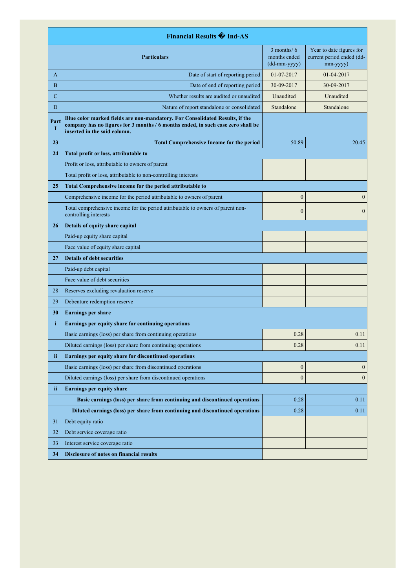| <b>Financial Results + Ind-AS</b>                                                                                                                                                                             |                                                                                                          |                                                                                       |                                                                   |
|---------------------------------------------------------------------------------------------------------------------------------------------------------------------------------------------------------------|----------------------------------------------------------------------------------------------------------|---------------------------------------------------------------------------------------|-------------------------------------------------------------------|
|                                                                                                                                                                                                               | <b>Particulars</b>                                                                                       | $3$ months/ $6$<br>months ended<br>$(dd{\text{-}\!\!\,\text{mm-}}\text{\small{yyyy}}$ | Year to date figures for<br>current period ended (dd-<br>mm-yyyy) |
| A                                                                                                                                                                                                             | Date of start of reporting period                                                                        | 01-07-2017                                                                            | 01-04-2017                                                        |
| B                                                                                                                                                                                                             | Date of end of reporting period                                                                          | 30-09-2017                                                                            | 30-09-2017                                                        |
| $\overline{C}$                                                                                                                                                                                                | Whether results are audited or unaudited                                                                 | Unaudited                                                                             | Unaudited                                                         |
| D                                                                                                                                                                                                             | Nature of report standalone or consolidated                                                              | Standalone                                                                            | Standalone                                                        |
| Blue color marked fields are non-mandatory. For Consolidated Results, if the<br>Part<br>company has no figures for 3 months / 6 months ended, in such case zero shall be<br>I<br>inserted in the said column. |                                                                                                          |                                                                                       |                                                                   |
| 23                                                                                                                                                                                                            | <b>Total Comprehensive Income for the period</b>                                                         | 50.89                                                                                 | 20.45                                                             |
| 24                                                                                                                                                                                                            | Total profit or loss, attributable to                                                                    |                                                                                       |                                                                   |
|                                                                                                                                                                                                               | Profit or loss, attributable to owners of parent                                                         |                                                                                       |                                                                   |
|                                                                                                                                                                                                               | Total profit or loss, attributable to non-controlling interests                                          |                                                                                       |                                                                   |
| 25                                                                                                                                                                                                            | Total Comprehensive income for the period attributable to                                                |                                                                                       |                                                                   |
|                                                                                                                                                                                                               | Comprehensive income for the period attributable to owners of parent                                     | $\boldsymbol{0}$                                                                      | $\mathbf{0}$                                                      |
|                                                                                                                                                                                                               | Total comprehensive income for the period attributable to owners of parent non-<br>controlling interests | $\boldsymbol{0}$                                                                      | $\mathbf{0}$                                                      |
| 26                                                                                                                                                                                                            | Details of equity share capital                                                                          |                                                                                       |                                                                   |
|                                                                                                                                                                                                               | Paid-up equity share capital                                                                             |                                                                                       |                                                                   |
|                                                                                                                                                                                                               | Face value of equity share capital                                                                       |                                                                                       |                                                                   |
| 27                                                                                                                                                                                                            | <b>Details of debt securities</b>                                                                        |                                                                                       |                                                                   |
|                                                                                                                                                                                                               | Paid-up debt capital                                                                                     |                                                                                       |                                                                   |
|                                                                                                                                                                                                               | Face value of debt securities                                                                            |                                                                                       |                                                                   |
| 28                                                                                                                                                                                                            | Reserves excluding revaluation reserve                                                                   |                                                                                       |                                                                   |
| 29                                                                                                                                                                                                            | Debenture redemption reserve                                                                             |                                                                                       |                                                                   |
| 30                                                                                                                                                                                                            | <b>Earnings per share</b>                                                                                |                                                                                       |                                                                   |
| i                                                                                                                                                                                                             | Earnings per equity share for continuing operations                                                      |                                                                                       |                                                                   |
|                                                                                                                                                                                                               | Basic earnings (loss) per share from continuing operations                                               | 0.28                                                                                  | 0.11                                                              |
|                                                                                                                                                                                                               | Diluted earnings (loss) per share from continuing operations                                             | 0.28                                                                                  | 0.11                                                              |
| ii                                                                                                                                                                                                            | Earnings per equity share for discontinued operations                                                    |                                                                                       |                                                                   |
|                                                                                                                                                                                                               | Basic earnings (loss) per share from discontinued operations                                             | $\boldsymbol{0}$                                                                      | $\mathbf{0}$                                                      |
|                                                                                                                                                                                                               | Diluted earnings (loss) per share from discontinued operations                                           | $\boldsymbol{0}$                                                                      | $\mathbf{0}$                                                      |
| ii.                                                                                                                                                                                                           | <b>Earnings per equity share</b>                                                                         |                                                                                       |                                                                   |
|                                                                                                                                                                                                               | Basic earnings (loss) per share from continuing and discontinued operations                              | 0.28                                                                                  | 0.11                                                              |
|                                                                                                                                                                                                               | Diluted earnings (loss) per share from continuing and discontinued operations                            | 0.28                                                                                  | 0.11                                                              |
| 31                                                                                                                                                                                                            | Debt equity ratio                                                                                        |                                                                                       |                                                                   |
| 32                                                                                                                                                                                                            | Debt service coverage ratio                                                                              |                                                                                       |                                                                   |
| 33                                                                                                                                                                                                            | Interest service coverage ratio                                                                          |                                                                                       |                                                                   |
| 34                                                                                                                                                                                                            | Disclosure of notes on financial results                                                                 |                                                                                       |                                                                   |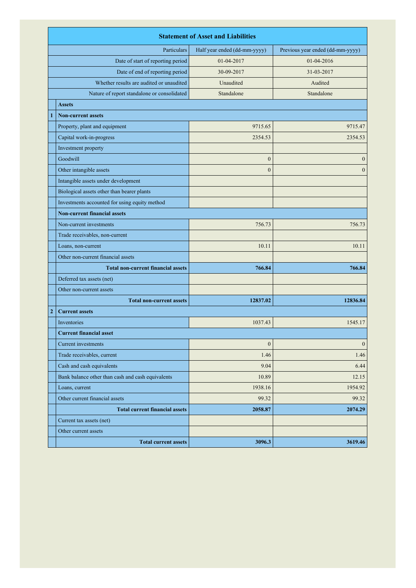|              | <b>Statement of Asset and Liabilities</b>         |                              |                                  |
|--------------|---------------------------------------------------|------------------------------|----------------------------------|
|              | Particulars                                       | Half year ended (dd-mm-yyyy) | Previous year ended (dd-mm-yyyy) |
|              | Date of start of reporting period                 | 01-04-2017                   | 01-04-2016                       |
|              | Date of end of reporting period                   | 30-09-2017                   | 31-03-2017                       |
|              | Whether results are audited or unaudited          | Unaudited                    | Audited                          |
|              | Nature of report standalone or consolidated       | Standalone                   | Standalone                       |
|              | <b>Assets</b>                                     |                              |                                  |
| 1            | <b>Non-current assets</b>                         |                              |                                  |
|              | Property, plant and equipment                     | 9715.65                      | 9715.47                          |
|              | Capital work-in-progress                          | 2354.53                      | 2354.53                          |
|              | Investment property                               |                              |                                  |
|              | Goodwill                                          | $\mathbf{0}$                 | $\mathbf{0}$                     |
|              | Other intangible assets                           | $\theta$                     | $\theta$                         |
|              | Intangible assets under development               |                              |                                  |
|              | Biological assets other than bearer plants        |                              |                                  |
|              | Investments accounted for using equity method     |                              |                                  |
|              | <b>Non-current financial assets</b>               |                              |                                  |
|              | Non-current investments                           | 756.73                       | 756.73                           |
|              | Trade receivables, non-current                    |                              |                                  |
|              | Loans, non-current                                | 10.11                        | 10.11                            |
|              | Other non-current financial assets                |                              |                                  |
|              | <b>Total non-current financial assets</b>         | 766.84                       | 766.84                           |
|              | Deferred tax assets (net)                         |                              |                                  |
|              | Other non-current assets                          |                              |                                  |
|              | <b>Total non-current assets</b>                   | 12837.02                     | 12836.84                         |
| $\mathbf{2}$ | <b>Current assets</b>                             |                              |                                  |
|              | Inventories                                       | 1037.43                      | 1545.17                          |
|              | <b>Current financial asset</b>                    |                              |                                  |
|              | Current investments                               | $\boldsymbol{0}$             | $\boldsymbol{0}$                 |
|              | Trade receivables, current                        | 1.46                         | 1.46                             |
|              | Cash and cash equivalents                         | 9.04                         | 6.44                             |
|              | Bank balance other than cash and cash equivalents | 10.89                        | 12.15                            |
|              | Loans, current                                    | 1938.16                      | 1954.92                          |
|              | Other current financial assets                    | 99.32                        | 99.32                            |
|              | <b>Total current financial assets</b>             | 2058.87                      | 2074.29                          |
|              | Current tax assets (net)                          |                              |                                  |
|              | Other current assets                              |                              |                                  |
|              | <b>Total current assets</b>                       | 3096.3                       | 3619.46                          |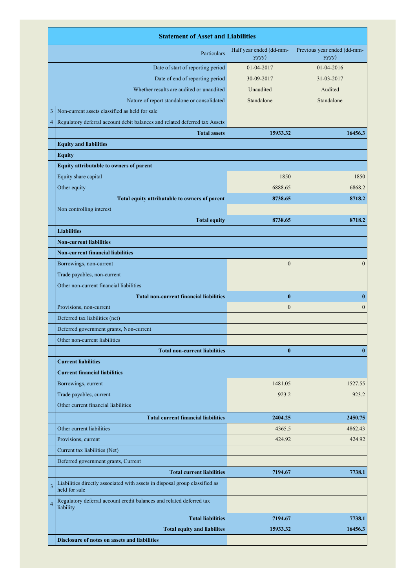|                                   | <b>Statement of Asset and Liabilities</b>                                                    |                                  |                                      |  |
|-----------------------------------|----------------------------------------------------------------------------------------------|----------------------------------|--------------------------------------|--|
| Particulars                       |                                                                                              | Half year ended (dd-mm-<br>yyyy) | Previous year ended (dd-mm-<br>yyyy) |  |
| Date of start of reporting period |                                                                                              | 01-04-2017                       | 01-04-2016                           |  |
|                                   | Date of end of reporting period                                                              | 30-09-2017                       | 31-03-2017                           |  |
|                                   | Whether results are audited or unaudited                                                     | Unaudited                        | Audited                              |  |
|                                   | Nature of report standalone or consolidated                                                  | Standalone                       | Standalone                           |  |
| 3                                 | Non-current assets classified as held for sale                                               |                                  |                                      |  |
| 4                                 | Regulatory deferral account debit balances and related deferred tax Assets                   |                                  |                                      |  |
|                                   | <b>Total assets</b>                                                                          | 15933.32                         | 16456.3                              |  |
|                                   | <b>Equity and liabilities</b>                                                                |                                  |                                      |  |
|                                   | <b>Equity</b>                                                                                |                                  |                                      |  |
|                                   | Equity attributable to owners of parent                                                      |                                  |                                      |  |
|                                   | Equity share capital                                                                         | 1850                             | 1850                                 |  |
|                                   | Other equity                                                                                 | 6888.65                          | 6868.2                               |  |
|                                   | Total equity attributable to owners of parent                                                | 8738.65                          | 8718.2                               |  |
|                                   | Non controlling interest                                                                     |                                  |                                      |  |
|                                   | <b>Total equity</b>                                                                          | 8738.65                          | 8718.2                               |  |
|                                   | <b>Liabilities</b>                                                                           |                                  |                                      |  |
|                                   | <b>Non-current liabilities</b>                                                               |                                  |                                      |  |
|                                   | <b>Non-current financial liabilities</b>                                                     |                                  |                                      |  |
|                                   | Borrowings, non-current                                                                      | $\boldsymbol{0}$                 | $\boldsymbol{0}$                     |  |
|                                   | Trade payables, non-current                                                                  |                                  |                                      |  |
|                                   | Other non-current financial liabilities                                                      |                                  |                                      |  |
|                                   | <b>Total non-current financial liabilities</b>                                               | $\bf{0}$                         | $\bf{0}$                             |  |
|                                   | Provisions, non-current                                                                      | $\boldsymbol{0}$                 | $\mathbf{0}$                         |  |
|                                   | Deferred tax liabilities (net)                                                               |                                  |                                      |  |
|                                   | Deferred government grants, Non-current                                                      |                                  |                                      |  |
|                                   | Other non-current liabilities                                                                |                                  |                                      |  |
|                                   | <b>Total non-current liabilities</b>                                                         | $\bf{0}$                         | $\bf{0}$                             |  |
|                                   | <b>Current liabilities</b>                                                                   |                                  |                                      |  |
|                                   | <b>Current financial liabilities</b>                                                         |                                  |                                      |  |
|                                   | Borrowings, current                                                                          | 1481.05                          | 1527.55                              |  |
|                                   | Trade payables, current                                                                      | 923.2                            | 923.2                                |  |
|                                   | Other current financial liabilities                                                          |                                  |                                      |  |
|                                   | <b>Total current financial liabilities</b>                                                   | 2404.25                          | 2450.75                              |  |
|                                   | Other current liabilities                                                                    | 4365.5                           | 4862.43                              |  |
|                                   | Provisions, current                                                                          | 424.92                           | 424.92                               |  |
|                                   | Current tax liabilities (Net)                                                                |                                  |                                      |  |
|                                   | Deferred government grants, Current                                                          |                                  |                                      |  |
|                                   | <b>Total current liabilities</b>                                                             | 7194.67                          | 7738.1                               |  |
| 3                                 | Liabilities directly associated with assets in disposal group classified as<br>held for sale |                                  |                                      |  |
| $\overline{4}$                    | Regulatory deferral account credit balances and related deferred tax<br>liability            |                                  |                                      |  |
|                                   | <b>Total liabilities</b>                                                                     | 7194.67                          | 7738.1                               |  |
|                                   | <b>Total equity and liabilites</b>                                                           | 15933.32                         | 16456.3                              |  |
|                                   | Disclosure of notes on assets and liabilities                                                |                                  |                                      |  |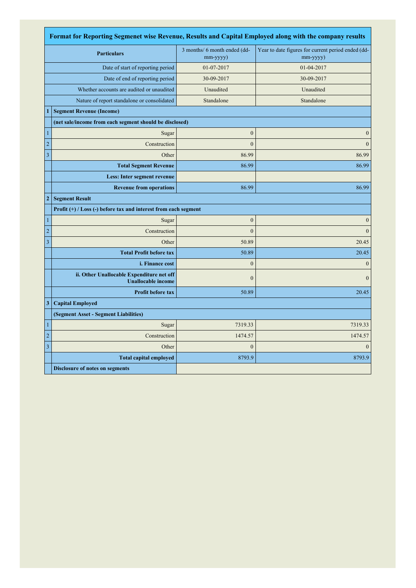| Format for Reporting Segmenet wise Revenue, Results and Capital Employed along with the company results |                                                                        |                                                |                                                                |  |
|---------------------------------------------------------------------------------------------------------|------------------------------------------------------------------------|------------------------------------------------|----------------------------------------------------------------|--|
|                                                                                                         | <b>Particulars</b>                                                     | 3 months/ 6 month ended (dd-<br>$mm$ -yyyy $)$ | Year to date figures for current period ended (dd-<br>mm-yyyy) |  |
| Date of start of reporting period                                                                       |                                                                        | 01-07-2017                                     | 01-04-2017                                                     |  |
|                                                                                                         | Date of end of reporting period                                        | 30-09-2017                                     | 30-09-2017                                                     |  |
|                                                                                                         | Whether accounts are audited or unaudited                              | Unaudited                                      | Unaudited                                                      |  |
|                                                                                                         | Nature of report standalone or consolidated                            | Standalone                                     | Standalone                                                     |  |
| $\mathbf{1}$                                                                                            | <b>Segment Revenue (Income)</b>                                        |                                                |                                                                |  |
|                                                                                                         | (net sale/income from each segment should be disclosed)                |                                                |                                                                |  |
| $\mathbf{1}$                                                                                            | Sugar                                                                  | $\boldsymbol{0}$                               | $\mathbf{0}$                                                   |  |
| $\overline{c}$                                                                                          | Construction                                                           | $\overline{0}$                                 | $\overline{0}$                                                 |  |
| $\mathfrak z$                                                                                           | Other                                                                  | 86.99                                          | 86.99                                                          |  |
|                                                                                                         | <b>Total Segment Revenue</b>                                           | 86.99                                          | 86.99                                                          |  |
|                                                                                                         | Less: Inter segment revenue                                            |                                                |                                                                |  |
|                                                                                                         | <b>Revenue from operations</b>                                         | 86.99                                          | 86.99                                                          |  |
| $\boldsymbol{2}$                                                                                        | <b>Segment Result</b>                                                  |                                                |                                                                |  |
|                                                                                                         | Profit (+) / Loss (-) before tax and interest from each segment        |                                                |                                                                |  |
| $\mathbf{1}$                                                                                            | Sugar                                                                  | $\boldsymbol{0}$                               | $\overline{0}$                                                 |  |
| $\sqrt{2}$                                                                                              | Construction                                                           | $\overline{0}$                                 | $\mathbf{0}$                                                   |  |
| $\mathfrak z$                                                                                           | Other                                                                  | 50.89                                          | 20.45                                                          |  |
|                                                                                                         | <b>Total Profit before tax</b>                                         | 50.89                                          | 20.45                                                          |  |
|                                                                                                         | <i>i. Finance cost</i>                                                 | $\mathbf{0}$                                   | $\theta$                                                       |  |
|                                                                                                         | ii. Other Unallocable Expenditure net off<br><b>Unallocable income</b> | $\mathbf{0}$                                   | $\overline{0}$                                                 |  |
|                                                                                                         | <b>Profit before tax</b>                                               | 50.89                                          | 20.45                                                          |  |
| 3                                                                                                       | <b>Capital Employed</b>                                                |                                                |                                                                |  |
|                                                                                                         | (Segment Asset - Segment Liabilities)                                  |                                                |                                                                |  |
| $\mathbf{1}$                                                                                            | Sugar                                                                  | 7319.33                                        | 7319.33                                                        |  |
| $\overline{c}$                                                                                          | Construction                                                           | 1474.57                                        | 1474.57                                                        |  |
| $\mathfrak z$                                                                                           | Other                                                                  | $\overline{0}$                                 | $\theta$                                                       |  |
|                                                                                                         | <b>Total capital employed</b>                                          | 8793.9                                         | 8793.9                                                         |  |
|                                                                                                         | <b>Disclosure of notes on segments</b>                                 |                                                |                                                                |  |